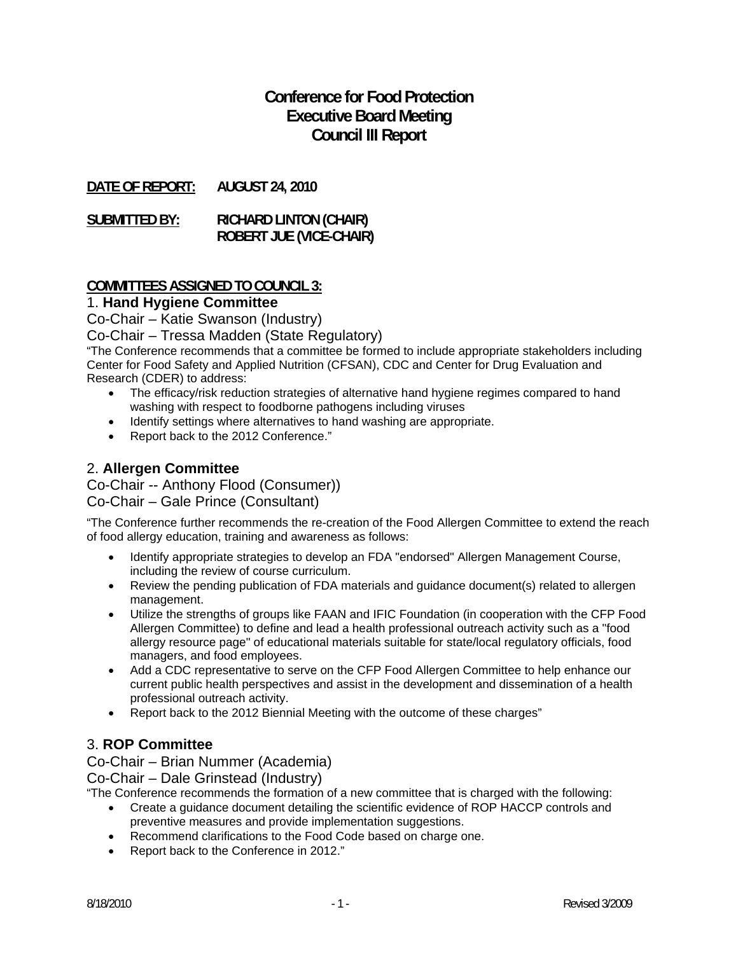# **Conference for Food Protection Executive Board Meeting Council III Report**

**DATE OF REPORT: AUGUST 24, 2010** 

**SUBMITTED BY: RICHARD LINTON (CHAIR) ROBERT JUE (VICE-CHAIR)** 

#### **COMMITTEES ASSIGNED TO COUNCIL 3:**

#### 1. **Hand Hygiene Committee**

Co-Chair – Katie Swanson (Industry)

Co-Chair – Tressa Madden (State Regulatory)

"The Conference recommends that a committee be formed to include appropriate stakeholders including Center for Food Safety and Applied Nutrition (CFSAN), CDC and Center for Drug Evaluation and Research (CDER) to address:

- The efficacy/risk reduction strategies of alternative hand hygiene regimes compared to hand washing with respect to foodborne pathogens including viruses
- Identify settings where alternatives to hand washing are appropriate.
- Report back to the 2012 Conference."

## 2. **Allergen Committee**

Co-Chair -- Anthony Flood (Consumer))

Co-Chair – Gale Prince (Consultant)

"The Conference further recommends the re-creation of the Food Allergen Committee to extend the reach of food allergy education, training and awareness as follows:

- Identify appropriate strategies to develop an FDA "endorsed" Allergen Management Course, including the review of course curriculum.
- Review the pending publication of FDA materials and guidance document(s) related to allergen management.
- Utilize the strengths of groups like FAAN and IFIC Foundation (in cooperation with the CFP Food Allergen Committee) to define and lead a health professional outreach activity such as a "food allergy resource page" of educational materials suitable for state/local regulatory officials, food managers, and food employees.
- Add a CDC representative to serve on the CFP Food Allergen Committee to help enhance our current public health perspectives and assist in the development and dissemination of a health professional outreach activity.
- Report back to the 2012 Biennial Meeting with the outcome of these charges"

## 3. **ROP Committee**

Co-Chair – Brian Nummer (Academia)

Co-Chair – Dale Grinstead (Industry)

"The Conference recommends the formation of a new committee that is charged with the following:

- Create a guidance document detailing the scientific evidence of ROP HACCP controls and preventive measures and provide implementation suggestions.
- Recommend clarifications to the Food Code based on charge one.
- Report back to the Conference in 2012."